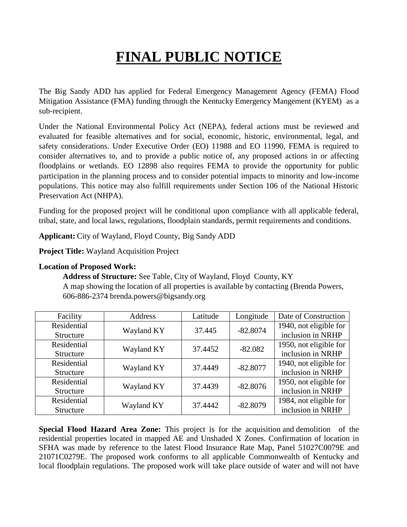# **FINAL PUBLIC NOTICE**

The Big Sandy ADD has applied for Federal Emergency Management Agency (FEMA) Flood Mitigation Assistance (FMA) funding through the Kentucky Emergency Mangement (KYEM) as a sub-recipient.

Under the National Environmental Policy Act (NEPA), federal actions must be reviewed and evaluated for feasible alternatives and for social, economic, historic, environmental, legal, and safety considerations. Under Executive Order (EO) 11988 and EO 11990, FEMA is required to consider alternatives to, and to provide a public notice of, any proposed actions in or affecting floodplains or wetlands. EO 12898 also requires FEMA to provide the opportunity for public participation in the planning process and to consider potential impacts to minority and low-income populations. This notice may also fulfill requirements under Section 106 of the National Historic Preservation Act (NHPA).

Funding for the proposed project will be conditional upon compliance with all applicable federal, tribal, state, and local laws, regulations, floodplain standards, permit requirements and conditions.

**Applicant:** City of Wayland, Floyd County, Big Sandy ADD

**Project Title:** Wayland Acquisition Project

#### **Location of Proposed Work:**

**Address of Structure:** See Table, City of Wayland, Floyd County, KY A map showing the location of all properties is available by contacting (Brenda Powers, 606-886-2374 brenda.powers@bigsandy.org

| Facility    | Address    | Latitude | Longitude  | Date of Construction   |
|-------------|------------|----------|------------|------------------------|
| Residential | Wayland KY | 37.445   | $-82.8074$ | 1940, not eligible for |
| Structure   |            |          |            | inclusion in NRHP      |
| Residential | Wayland KY | 37.4452  | $-82.082$  | 1950, not eligible for |
| Structure   |            |          |            | inclusion in NRHP      |
| Residential | Wayland KY | 37.4449  | $-82.8077$ | 1940, not eligible for |
| Structure   |            |          |            | inclusion in NRHP      |
| Residential | Wayland KY | 37.4439  | $-82.8076$ | 1950, not eligible for |
| Structure   |            |          |            | inclusion in NRHP      |
| Residential | Wayland KY | 37.4442  | $-82.8079$ | 1984, not eligible for |
| Structure   |            |          |            | inclusion in NRHP      |

**Special Flood Hazard Area Zone:** This project is for the acquisition and demolition of the residential properties located in mapped AE and Unshaded X Zones. Confirmation of location in SFHA was made by reference to the latest Flood Insurance Rate Map, Panel 51027C0079E and 21071C0279E. The proposed work conforms to all applicable Commonwealth of Kentucky and local floodplain regulations. The proposed work will take place outside of water and will not have